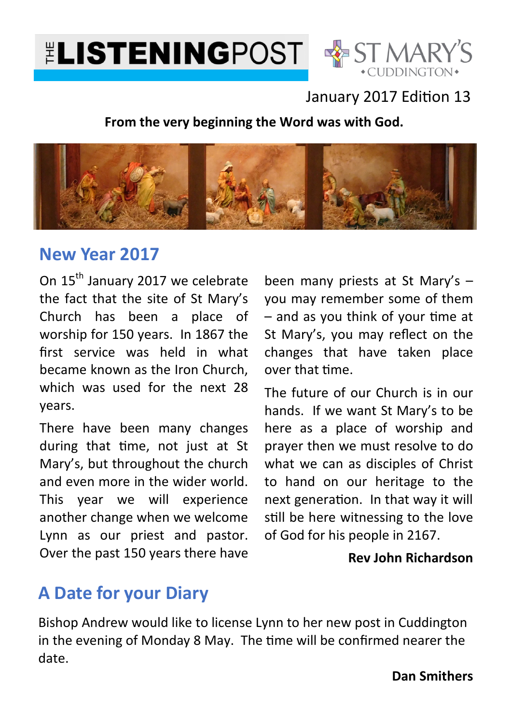



### January 2017 Edition 13

**From the very beginning the Word was with God.**



### **New Year 2017**

On 15<sup>th</sup> January 2017 we celebrate the fact that the site of St Mary's Church has been a place of worship for 150 years. In 1867 the first service was held in what became known as the Iron Church, which was used for the next 28 years.

There have been many changes during that time, not just at St Mary's, but throughout the church and even more in the wider world. This year we will experience another change when we welcome Lynn as our priest and pastor. Over the past 150 years there have

been many priests at St Mary's – you may remember some of them  $-$  and as you think of your time at St Mary's, you may reflect on the changes that have taken place over that time.

The future of our Church is in our hands. If we want St Mary's to be here as a place of worship and prayer then we must resolve to do what we can as disciples of Christ to hand on our heritage to the next generation. In that way it will still be here witnessing to the love of God for his people in 2167.

### **Rev John Richardson**

### **A Date for your Diary**

Bishop Andrew would like to license Lynn to her new post in Cuddington in the evening of Monday 8 May. The time will be confirmed nearer the date.

**Dan Smithers**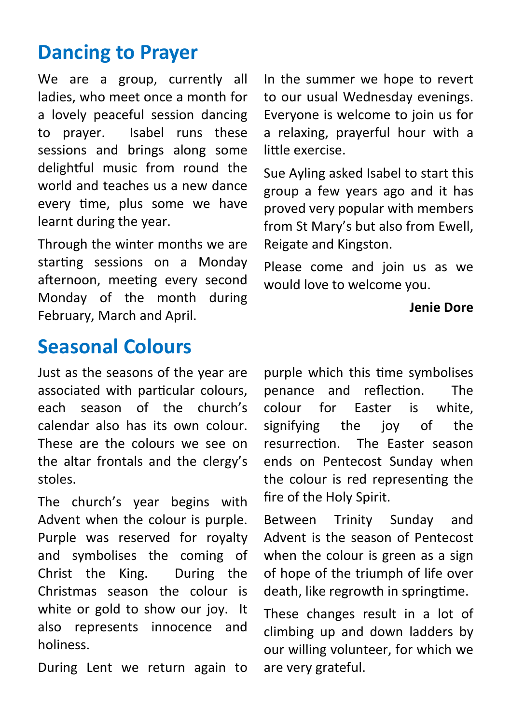# **Dancing to Prayer**

We are a group, currently all ladies, who meet once a month for a lovely peaceful session dancing to prayer. Isabel runs these sessions and brings along some delightful music from round the world and teaches us a new dance every time, plus some we have learnt during the year.

Through the winter months we are starting sessions on a Monday afternoon, meeting every second Monday of the month during February, March and April.

**Seasonal Colours** 

Just as the seasons of the year are associated with particular colours, each season of the church's calendar also has its own colour. These are the colours we see on the altar frontals and the clergy's stoles.

The church's year begins with Advent when the colour is purple. Purple was reserved for royalty and symbolises the coming of Christ the King. During the Christmas season the colour is white or gold to show our joy. It also represents innocence and holiness.

During Lent we return again to

In the summer we hope to revert to our usual Wednesday evenings. Everyone is welcome to join us for a relaxing, prayerful hour with a little exercise.

Sue Ayling asked Isabel to start this group a few years ago and it has proved very popular with members from St Mary's but also from Ewell, Reigate and Kingston.

Please come and join us as we would love to welcome you.

#### **Jenie Dore**

purple which this time symbolises penance and reflection. The colour for Easter is white, signifying the joy of the resurrection. The Easter season ends on Pentecost Sunday when the colour is red representing the fire of the Holy Spirit.

Between Trinity Sunday and Advent is the season of Pentecost when the colour is green as a sign of hope of the triumph of life over death, like regrowth in springtime.

These changes result in a lot of climbing up and down ladders by our willing volunteer, for which we are very grateful.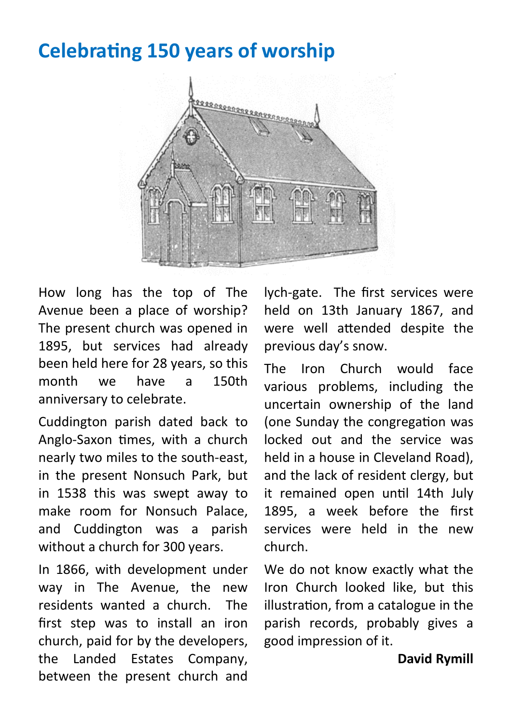### **Celebrating 150 years of worship**



How long has the top of The Avenue been a place of worship? The present church was opened in 1895, but services had already been held here for 28 years, so this month we have a 150th anniversary to celebrate.

Cuddington parish dated back to Anglo-Saxon times, with a church nearly two miles to the south-east, in the present Nonsuch Park, but in 1538 this was swept away to make room for Nonsuch Palace, and Cuddington was a parish without a church for 300 years.

In 1866, with development under way in The Avenue, the new residents wanted a church. The first step was to install an iron church, paid for by the developers, the Landed Estates Company, between the present church and

lych-gate. The first services were held on 13th January 1867, and were well attended despite the previous day's snow.

The Iron Church would face various problems, including the uncertain ownership of the land (one Sunday the congregation was locked out and the service was held in a house in Cleveland Road), and the lack of resident clergy, but it remained open until 14th Julv 1895, a week before the first services were held in the new church.

We do not know exactly what the Iron Church looked like, but this illustration, from a catalogue in the parish records, probably gives a good impression of it.

#### **David Rymill**